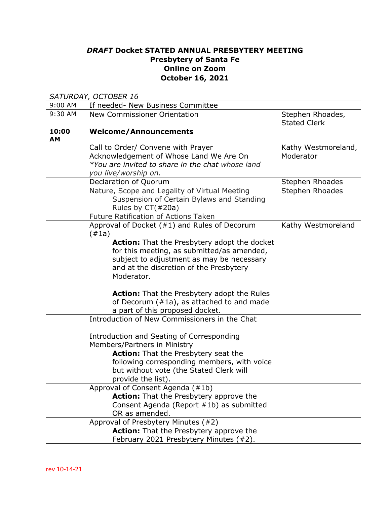## *DRAFT* **Docket STATED ANNUAL PRESBYTERY MEETING Presbytery of Santa Fe Online on Zoom October 16, 2021**

| SATURDAY, OCTOBER 16 |                                                                                                                                                                                                                                                                                                                                                                                                            |                                         |  |  |
|----------------------|------------------------------------------------------------------------------------------------------------------------------------------------------------------------------------------------------------------------------------------------------------------------------------------------------------------------------------------------------------------------------------------------------------|-----------------------------------------|--|--|
| 9:00 AM              | If needed- New Business Committee                                                                                                                                                                                                                                                                                                                                                                          |                                         |  |  |
| 9:30 AM              | <b>New Commissioner Orientation</b>                                                                                                                                                                                                                                                                                                                                                                        | Stephen Rhoades,<br><b>Stated Clerk</b> |  |  |
| 10:00<br>AM          | <b>Welcome/Announcements</b>                                                                                                                                                                                                                                                                                                                                                                               |                                         |  |  |
|                      | Call to Order/ Convene with Prayer<br>Acknowledgement of Whose Land We Are On<br>*You are invited to share in the chat whose land<br>you live/worship on.                                                                                                                                                                                                                                                  | Kathy Westmoreland,<br>Moderator        |  |  |
|                      | Declaration of Quorum                                                                                                                                                                                                                                                                                                                                                                                      | Stephen Rhoades                         |  |  |
|                      | Nature, Scope and Legality of Virtual Meeting<br>Suspension of Certain Bylaws and Standing<br>Rules by CT(#20a)<br>Future Ratification of Actions Taken                                                                                                                                                                                                                                                    | Stephen Rhoades                         |  |  |
|                      | Approval of Docket (#1) and Rules of Decorum<br>(#1a)<br><b>Action:</b> That the Presbytery adopt the docket<br>for this meeting, as submitted/as amended,<br>subject to adjustment as may be necessary<br>and at the discretion of the Presbytery<br>Moderator.<br><b>Action:</b> That the Presbytery adopt the Rules<br>of Decorum $(\#1a)$ , as attached to and made<br>a part of this proposed docket. | Kathy Westmoreland                      |  |  |
|                      | Introduction of New Commissioners in the Chat<br>Introduction and Seating of Corresponding<br>Members/Partners in Ministry<br><b>Action:</b> That the Presbytery seat the<br>following corresponding members, with voice<br>but without vote (the Stated Clerk will<br>provide the list).<br>Approval of Consent Agenda (#1b)                                                                              |                                         |  |  |
|                      | <b>Action:</b> That the Presbytery approve the<br>Consent Agenda (Report #1b) as submitted<br>OR as amended.                                                                                                                                                                                                                                                                                               |                                         |  |  |
|                      | Approval of Presbytery Minutes (#2)<br><b>Action:</b> That the Presbytery approve the<br>February 2021 Presbytery Minutes (#2).                                                                                                                                                                                                                                                                            |                                         |  |  |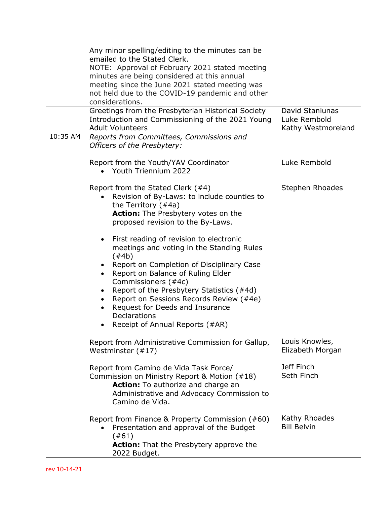|          | Any minor spelling/editing to the minutes can be<br>emailed to the Stated Clerk.<br>NOTE: Approval of February 2021 stated meeting<br>minutes are being considered at this annual<br>meeting since the June 2021 stated meeting was<br>not held due to the COVID-19 pandemic and other<br>considerations.<br>Greetings from the Presbyterian Historical Society                                                                       | David Staniunas                     |
|----------|---------------------------------------------------------------------------------------------------------------------------------------------------------------------------------------------------------------------------------------------------------------------------------------------------------------------------------------------------------------------------------------------------------------------------------------|-------------------------------------|
|          | Introduction and Commissioning of the 2021 Young<br><b>Adult Volunteers</b>                                                                                                                                                                                                                                                                                                                                                           | Luke Rembold<br>Kathy Westmoreland  |
| 10:35 AM | Reports from Committees, Commissions and<br>Officers of the Presbytery:                                                                                                                                                                                                                                                                                                                                                               |                                     |
|          | Report from the Youth/YAV Coordinator<br>• Youth Triennium 2022                                                                                                                                                                                                                                                                                                                                                                       | Luke Rembold                        |
|          | Report from the Stated Clerk (#4)<br>Revision of By-Laws: to include counties to<br>the Territory $($ #4a)<br><b>Action:</b> The Presbytery votes on the<br>proposed revision to the By-Laws.                                                                                                                                                                                                                                         | Stephen Rhoades                     |
|          | First reading of revision to electronic<br>$\bullet$<br>meetings and voting in the Standing Rules<br>$(\#4b)$<br>Report on Completion of Disciplinary Case<br>$\bullet$<br>Report on Balance of Ruling Elder<br>Commissioners (#4c)<br>Report of the Presbytery Statistics (#4d)<br>$\bullet$<br>Report on Sessions Records Review (#4e)<br>Request for Deeds and Insurance<br><b>Declarations</b><br>Receipt of Annual Reports (#AR) |                                     |
|          | Report from Administrative Commission for Gallup,<br>Westminster (#17)                                                                                                                                                                                                                                                                                                                                                                | Louis Knowles,<br>Elizabeth Morgan  |
|          | Report from Camino de Vida Task Force/<br>Commission on Ministry Report & Motion (#18)<br>Action: To authorize and charge an<br>Administrative and Advocacy Commission to<br>Camino de Vida.                                                                                                                                                                                                                                          | Jeff Finch<br>Seth Finch            |
|          | Report from Finance & Property Commission (#60)<br>Presentation and approval of the Budget<br>(#61)<br><b>Action:</b> That the Presbytery approve the<br>2022 Budget.                                                                                                                                                                                                                                                                 | Kathy Rhoades<br><b>Bill Belvin</b> |